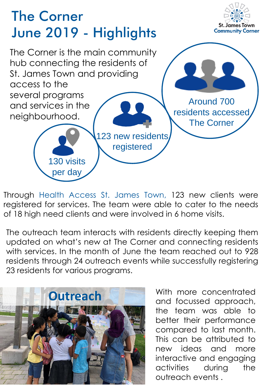

Through Health Access St. James Town, 123 new clients were registered for services. The team were able to cater to the needs of 18 high need clients and were involved in 6 home visits.

The outreach team interacts with residents directly keeping them updated on what's new at The Corner and connecting residents with services. In the month of June the team reached out to 928 residents through 24 outreach events while successfully registering 23 residents for various programs.



With more concentrated and focussed approach, the team was able to better their performance compared to last month. This can be attributed to new ideas and more interactive and engaging activities during the outreach events .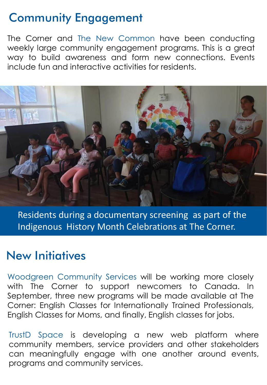# Community Engagement

The Corner and The New Common have been conducting weekly large community engagement programs. This is a great way to build awareness and form new connections. Events include fun and interactive activities for residents.



Residents during a documentary screening as part of the Indigenous History Month Celebrations at The Corner.

### New Initiatives

Woodgreen Community Services will be working more closely with The Corner to support newcomers to Canada. In September, three new programs will be made available at The Corner: English Classes for Internationally Trained Professionals, English Classes for Moms, and finally, English classes for jobs.

TrustD Space is developing a new web platform where community members, service providers and other stakeholders can meaningfully engage with one another around events, programs and community services.